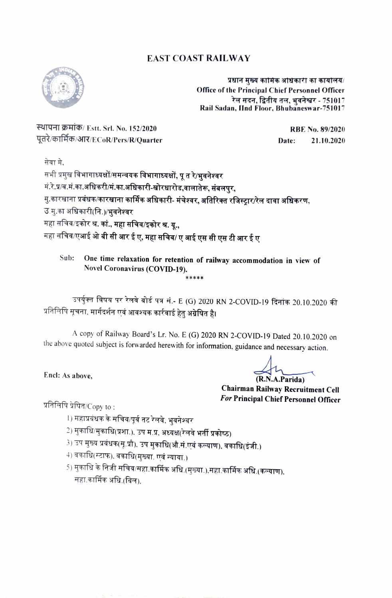## EAST COAST RAILWAY



प्रधान मुख्य कामिक अधिकारी का कार्यालय/ Office of the Principal Chief Personnel Officer रेल सदन, द्वितीय तल, भुवनेश्वर - 751017 Rail Sadan, IInd Floor, Bhubaneswar-751017

RTYHI 7HT5/ Estt. Srl. No. 152/2020 RBE No. 89/2020 पूतरे/कार्मिक/आर/ECoR/Pers/R/Quarter 21.10.2020

सेवा मे.<br>सभी प्रमुख विभागाध्यक्षों/समन्वयक विभागाध्यक्षों, पू त रे/भुवनेश्वर मं.रे.प्र/व.मं.का.अधिकरी/मं.का.अधिकारी-खोरधारोड,वालातेरू, संबलपुर,<br>मु.कारखाना प्रबंधक/कारखाना कार्मिक अधिकारी- मंचेश्वर, अतिरिक्त रजिस्ट्रार/रेल दावा अधिकरण, उ.मु.का अधिकारी(नि.)/भुवनेश्वर महा सचिव/इकोर श्र. कां., महा सचिव/इकोर श्र. यू., महा सचिव/एआई ओ बी सी आर ई ए, महा सचिव/ ए आई एस सी एस टी आर ई ए

Sub: One time relaxation for retention of railway accommodation in view of Novel Coronavirus (COVID-19). \*\*\*\*\*

उपर्युक्त विषय पर रेलवे बोर्ड पत्र सं.- E (G) 2020 RN 2-COVID-19 दिनांक 20.10.2020 की प्रतिलिपि सूचना, मार्गदर्शन एवं आवश्यक कार्रवाई हेतु अग्रेषित है।

A copy of Railway Board's Lr. No. E (G) 2020 RN 2-COVID-19 Dated 20.10.2020 on the above quoted subject is forwarded herewith for information, guidance and necessary action.

Encl: As above, (R.N.A.Parida)

Chairman Railway Recruitment Cell For Principal Chief Personnel Officer

प्रतिलिपि प्रेषित/ $\mathsf{Copy}\ \mathsf{to}\ \mathsf{.}$ 

- l) महाप्रबंधक के सचिव/पूर्व तट रेलवे, भुवनेश्वर
- 
- 2) मुकाधि/मुकाधि(प्रशा.), उप म.प्र, अध्यक्ष(रेलवे भर्<mark>ती प्रकोष्ठ)</mark><br>3) उप मुख्य प्रबंधक(सू.प्रौ), उप मुकाधि(औ.सं.एवं कल्याण), वकाधि(इंजी.)
- 4) वकाधि(स्टाफ), वकाधि(मुख्या. एवं न्याया.)
- 5) मुकाधि के निजी सचिव/महा.कार्मिक अधि.(मुख्या.),सहा.कार्मिक अधि.(कल्याण),<br>सहा.कार्मिक अधि.(विल).